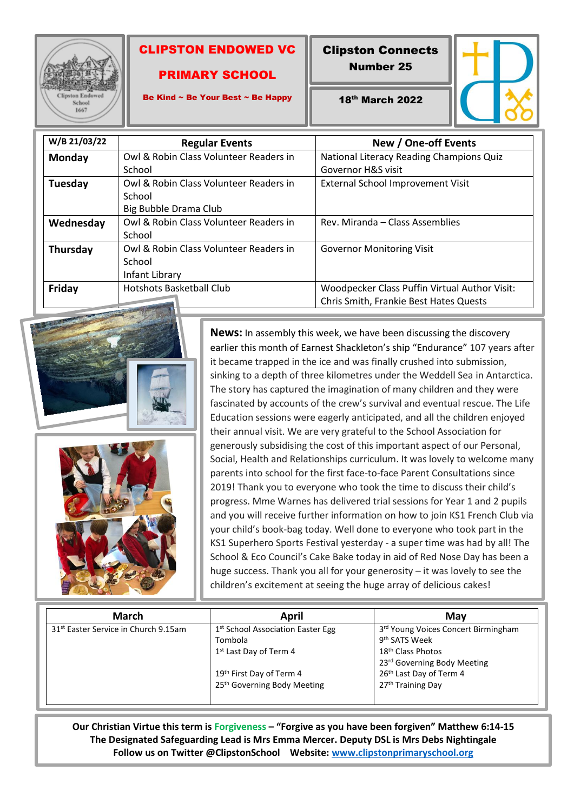

ı

## CLIPSTON ENDOWED VC

## PRIMARY SCHOOL

Clipston Connects

Number 25



Be Kind ~ Be Your Best ~ Be Happy

18th March 2022

| W/B 21/03/22  | <b>Regular Events</b>                  | New / One-off Events                          |
|---------------|----------------------------------------|-----------------------------------------------|
| <b>Monday</b> | Owl & Robin Class Volunteer Readers in | National Literacy Reading Champions Quiz      |
|               | School                                 | Governor H&S visit                            |
| Tuesday       | Owl & Robin Class Volunteer Readers in | External School Improvement Visit             |
|               | School                                 |                                               |
|               | Big Bubble Drama Club                  |                                               |
| Wednesday     | Owl & Robin Class Volunteer Readers in | Rev. Miranda – Class Assemblies               |
|               | School                                 |                                               |
| Thursday      | Owl & Robin Class Volunteer Readers in | <b>Governor Monitoring Visit</b>              |
|               | School                                 |                                               |
|               | Infant Library                         |                                               |
| Friday        | Hotshots Basketball Club               | Woodpecker Class Puffin Virtual Author Visit: |
|               |                                        | Chris Smith, Frankie Best Hates Quests        |





**News:** In assembly this week, we have been discussing the discovery earlier this month of Earnest Shackleton's ship "Endurance" 107 years after it became trapped in the ice and was finally crushed into submission, sinking to a depth of three kilometres under the Weddell Sea in Antarctica. The story has captured the imagination of many children and they were fascinated by accounts of the crew's survival and eventual rescue. The Life Education sessions were eagerly anticipated, and all the children enjoyed their annual visit. We are very grateful to the School Association for generously subsidising the cost of this important aspect of our Personal, Social, Health and Relationships curriculum. It was lovely to welcome many parents into school for the first face-to-face Parent Consultations since 2019! Thank you to everyone who took the time to discuss their child's progress. Mme Warnes has delivered trial sessions for Year 1 and 2 pupils and you will receive further information on how to join KS1 French Club via your child's book-bag today. Well done to everyone who took part in the KS1 Superhero Sports Festival yesterday - a super time was had by all! The School & Eco Council's Cake Bake today in aid of Red Nose Day has been a huge success. Thank you all for your generosity – it was lovely to see the children's excitement at seeing the huge array of delicious cakes!

| <b>March</b>                                     | April                                                                                          | May                                                                                                                              |
|--------------------------------------------------|------------------------------------------------------------------------------------------------|----------------------------------------------------------------------------------------------------------------------------------|
| 31 <sup>st</sup> Easter Service in Church 9.15am | 1 <sup>st</sup> School Association Easter Egg<br>Tombola<br>1 <sup>st</sup> Last Day of Term 4 | 3rd Young Voices Concert Birmingham<br>9 <sup>th</sup> SATS Week<br>18 <sup>th</sup> Class Photos<br>23rd Governing Body Meeting |
|                                                  | 19th First Day of Term 4<br>25 <sup>th</sup> Governing Body Meeting                            | 26th Last Day of Term 4<br>27 <sup>th</sup> Training Day                                                                         |

**Our Christian Virtue this term is Forgiveness – "Forgive as you have been forgiven" Matthew 6:14-15 The Designated Safeguarding Lead is Mrs Emma Mercer. Deputy DSL is Mrs Debs Nightingale Follow us on Twitter @ClipstonSchool Website: [www.clipstonprimaryschool.org](http://www.clipstonprimaryschool.org/)**